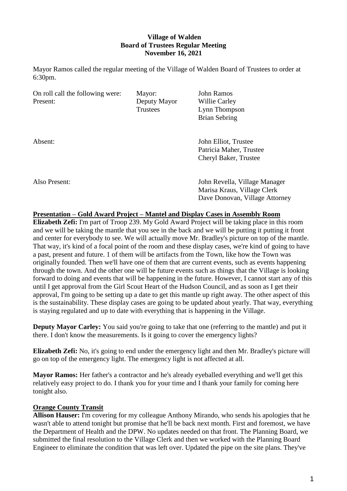# **Village of Walden Board of Trustees Regular Meeting November 16, 2021**

Mayor Ramos called the regular meeting of the Village of Walden Board of Trustees to order at 6:30pm.

| On roll call the following were:<br>Present: | Mayor:<br>Deputy Mayor<br><b>Trustees</b> | <b>John Ramos</b><br>Willie Carley<br>Lynn Thompson<br>Brian Sebring                           |
|----------------------------------------------|-------------------------------------------|------------------------------------------------------------------------------------------------|
| Absent:                                      |                                           | John Elliot, Trustee<br>Patricia Maher, Trustee<br>Cheryl Baker, Trustee                       |
| Also Present:                                |                                           | John Revella, Village Manager<br>Marisa Kraus, Village Clerk<br>Dave Donovan, Village Attorney |

#### **Presentation – Gold Award Project – Mantel and Display Cases in Assembly Room**

**Elizabeth Zefi:** I'm part of Troop 239. My Gold Award Project will be taking place in this room and we will be taking the mantle that you see in the back and we will be putting it putting it front and center for everybody to see. We will actually move Mr. Bradley's picture on top of the mantle. That way, it's kind of a focal point of the room and these display cases, we're kind of going to have a past, present and future. 1 of them will be artifacts from the Town, like how the Town was originally founded. Then we'll have one of them that are current events, such as events happening through the town. And the other one will be future events such as things that the Village is looking forward to doing and events that will be happening in the future. However, I cannot start any of this until I get approval from the Girl Scout Heart of the Hudson Council, and as soon as I get their approval, I'm going to be setting up a date to get this mantle up right away. The other aspect of this is the sustainability. These display cases are going to be updated about yearly. That way, everything is staying regulated and up to date with everything that is happening in the Village.

**Deputy Mayor Carley:** You said you're going to take that one (referring to the mantle) and put it there. I don't know the measurements. Is it going to cover the emergency lights?

**Elizabeth Zefi:** No, it's going to end under the emergency light and then Mr. Bradley's picture will go on top of the emergency light. The emergency light is not affected at all.

**Mayor Ramos:** Her father's a contractor and he's already eyeballed everything and we'll get this relatively easy project to do. I thank you for your time and I thank your family for coming here tonight also.

#### **Orange County Transit**

**Allison Hauser:** I'm covering for my colleague Anthony Mirando, who sends his apologies that he wasn't able to attend tonight but promise that he'll be back next month. First and foremost, we have the Department of Health and the DPW. No updates needed on that front. The Planning Board, we submitted the final resolution to the Village Clerk and then we worked with the Planning Board Engineer to eliminate the condition that was left over. Updated the pipe on the site plans. They've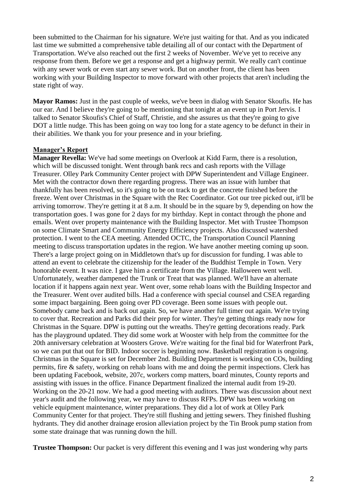been submitted to the Chairman for his signature. We're just waiting for that. And as you indicated last time we submitted a comprehensive table detailing all of our contact with the Department of Transportation. We've also reached out the first 2 weeks of November. We've yet to receive any response from them. Before we get a response and get a highway permit. We really can't continue with any sewer work or even start any sewer work. But on another front, the client has been working with your Building Inspector to move forward with other projects that aren't including the state right of way.

**Mayor Ramos:** Just in the past couple of weeks, we've been in dialog with Senator Skoufis. He has our ear. And I believe they're going to be mentioning that tonight at an event up in Port Jervis. I talked to Senator Skoufis's Chief of Staff, Christie, and she assures us that they're going to give DOT a little nudge. This has been going on way too long for a state agency to be defunct in their in their abilities. We thank you for your presence and in your briefing.

# **Manager's Report**

**Manager Revella:** We've had some meetings on Overlook at Kidd Farm, there is a resolution, which will be discussed tonight. Went through bank recs and cash reports with the Village Treasurer. Olley Park Community Center project with DPW Superintendent and Village Engineer. Met with the contractor down there regarding progress. There was an issue with lumber that thankfully has been resolved, so it's going to be on track to get the concrete finished before the freeze. Went over Christmas in the Square with the Rec Coordinator. Got our tree picked out, it'll be arriving tomorrow. They're getting it at 8 a.m. It should be in the square by 9, depending on how the transportation goes. I was gone for 2 days for my birthday. Kept in contact through the phone and emails. Went over property maintenance with the Building Inspector. Met with Trustee Thompson on some Climate Smart and Community Energy Efficiency projects. Also discussed watershed protection. I went to the CEA meeting. Attended OCTC, the Transportation Council Planning meeting to discuss transportation updates in the region. We have another meeting coming up soon. There's a large project going on in Middletown that's up for discussion for funding. I was able to attend an event to celebrate the citizenship for the leader of the Buddhist Temple in Town. Very honorable event. It was nice. I gave him a certificate from the Village. Halloween went well. Unfortunately, weather dampened the Trunk or Treat that was planned. We'll have an alternate location if it happens again next year. Went over, some rehab loans with the Building Inspector and the Treasurer. Went over audited bills. Had a conference with special counsel and CSEA regarding some impact bargaining. Been going over PD coverage. Been some issues with people out. Somebody came back and is back out again. So, we have another full timer out again. We're trying to cover that. Recreation and Parks did their prep for winter. They're getting things ready now for Christmas in the Square. DPW is putting out the wreaths. They're getting decorations ready. Park has the playground updated. They did some work at Wooster with help from the committee for the 20th anniversary celebration at Woosters Grove. We're waiting for the final bid for Waterfront Park, so we can put that out for BID. Indoor soccer is beginning now. Basketball registration is ongoing. Christmas in the Square is set for December 2nd. Building Department is working on COs, building permits, fire & safety, working on rehab loans with me and doing the permit inspections. Clerk has been updating Facebook, website, 207c, workers comp matters, board minutes, County reports and assisting with issues in the office. Finance Department finalized the internal audit from 19-20. Working on the 20-21 now. We had a good meeting with auditors. There was discussion about next year's audit and the following year, we may have to discuss RFPs. DPW has been working on vehicle equipment maintenance, winter preparations. They did a lot of work at Olley Park Community Center for that project. They're still flushing and jetting sewers. They finished flushing hydrants. They did another drainage erosion alleviation project by the Tin Brook pump station from some state drainage that was running down the hill.

**Trustee Thompson:** Our packet is very different this evening and I was just wondering why parts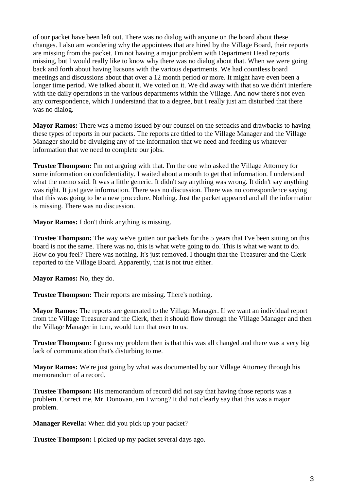of our packet have been left out. There was no dialog with anyone on the board about these changes. I also am wondering why the appointees that are hired by the Village Board, their reports are missing from the packet. I'm not having a major problem with Department Head reports missing, but I would really like to know why there was no dialog about that. When we were going back and forth about having liaisons with the various departments. We had countless board meetings and discussions about that over a 12 month period or more. It might have even been a longer time period. We talked about it. We voted on it. We did away with that so we didn't interfere with the daily operations in the various departments within the Village. And now there's not even any correspondence, which I understand that to a degree, but I really just am disturbed that there was no dialog.

**Mayor Ramos:** There was a memo issued by our counsel on the setbacks and drawbacks to having these types of reports in our packets. The reports are titled to the Village Manager and the Village Manager should be divulging any of the information that we need and feeding us whatever information that we need to complete our jobs.

**Trustee Thompson:** I'm not arguing with that. I'm the one who asked the Village Attorney for some information on confidentiality. I waited about a month to get that information. I understand what the memo said. It was a little generic. It didn't say anything was wrong. It didn't say anything was right. It just gave information. There was no discussion. There was no correspondence saying that this was going to be a new procedure. Nothing. Just the packet appeared and all the information is missing. There was no discussion.

**Mayor Ramos:** I don't think anything is missing.

**Trustee Thompson:** The way we've gotten our packets for the 5 years that I've been sitting on this board is not the same. There was no, this is what we're going to do. This is what we want to do. How do you feel? There was nothing. It's just removed. I thought that the Treasurer and the Clerk reported to the Village Board. Apparently, that is not true either.

**Mayor Ramos:** No, they do.

**Trustee Thompson:** Their reports are missing. There's nothing.

**Mayor Ramos:** The reports are generated to the Village Manager. If we want an individual report from the Village Treasurer and the Clerk, then it should flow through the Village Manager and then the Village Manager in turn, would turn that over to us.

**Trustee Thompson:** I guess my problem then is that this was all changed and there was a very big lack of communication that's disturbing to me.

**Mayor Ramos:** We're just going by what was documented by our Village Attorney through his memorandum of a record.

**Trustee Thompson:** His memorandum of record did not say that having those reports was a problem. Correct me, Mr. Donovan, am I wrong? It did not clearly say that this was a major problem.

**Manager Revella:** When did you pick up your packet?

**Trustee Thompson:** I picked up my packet several days ago.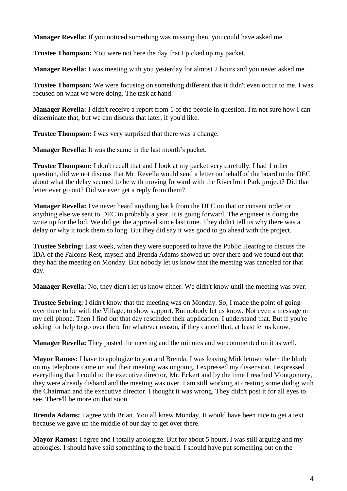**Manager Revella:** If you noticed something was missing then, you could have asked me.

**Trustee Thompson:** You were not here the day that I picked up my packet.

**Manager Revella:** I was meeting with you yesterday for almost 2 hours and you never asked me.

**Trustee Thompson:** We were focusing on something different that it didn't even occur to me. I was focused on what we were doing. The task at hand.

**Manager Revella:** I didn't receive a report from 1 of the people in question. I'm not sure how I can disseminate that, but we can discuss that later, if you'd like.

**Trustee Thompson:** I was very surprised that there was a change.

**Manager Revella:** It was the same in the last month's packet.

**Trustee Thompson:** I don't recall that and I look at my packet very carefully. I had 1 other question, did we not discuss that Mr. Revella would send a letter on behalf of the board to the DEC about what the delay seemed to be with moving forward with the Riverfront Park project? Did that letter ever go out? Did we ever get a reply from them?

**Manager Revella:** I've never heard anything back from the DEC on that or consent order or anything else we sent to DEC in probably a year. It is going forward. The engineer is doing the write up for the bid. We did get the approval since last time. They didn't tell us why there was a delay or why it took them so long. But they did say it was good to go ahead with the project.

**Trustee Sebring:** Last week, when they were supposed to have the Public Hearing to discuss the IDA of the Falcons Rest, myself and Brenda Adams showed up over there and we found out that they had the meeting on Monday. But nobody let us know that the meeting was canceled for that day.

**Manager Revella:** No, they didn't let us know either. We didn't know until the meeting was over.

**Trustee Sebring:** I didn't know that the meeting was on Monday. So, I made the point of going over there to be with the Village, to show support. But nobody let us know. Not even a message on my cell phone. Then I find out that day rescinded their application. I understand that. But if you're asking for help to go over there for whatever reason, if they cancel that, at least let us know.

**Manager Revella:** They posted the meeting and the minutes and we commented on it as well.

**Mayor Ramos:** I have to apologize to you and Brenda. I was leaving Middletown when the blurb on my telephone came on and their meeting was ongoing. I expressed my dissension. I expressed everything that I could to the executive director, Mr. Eckert and by the time I reached Montgomery, they were already disband and the meeting was over. I am still working at creating some dialog with the Chairman and the executive director. I thought it was wrong. They didn't post it for all eyes to see. There'll be more on that soon.

**Brenda Adams:** I agree with Brian. You all knew Monday. It would have been nice to get a text because we gave up the middle of our day to get over there.

**Mayor Ramos:** I agree and I totally apologize. But for about 5 hours, I was still arguing and my apologies. I should have said something to the board. I should have put something out on the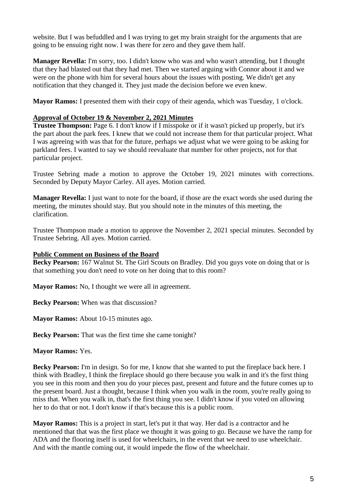website. But I was befuddled and I was trying to get my brain straight for the arguments that are going to be ensuing right now. I was there for zero and they gave them half.

**Manager Revella:** I'm sorry, too. I didn't know who was and who wasn't attending, but I thought that they had blasted out that they had met. Then we started arguing with Connor about it and we were on the phone with him for several hours about the issues with posting. We didn't get any notification that they changed it. They just made the decision before we even knew.

**Mayor Ramos:** I presented them with their copy of their agenda, which was Tuesday, 1 o'clock.

# **Approval of October 19 & November 2, 2021 Minutes**

**Trustee Thompson:** Page 6. I don't know if I misspoke or if it wasn't picked up properly, but it's the part about the park fees. I knew that we could not increase them for that particular project. What I was agreeing with was that for the future, perhaps we adjust what we were going to be asking for parkland fees. I wanted to say we should reevaluate that number for other projects, not for that particular project.

Trustee Sebring made a motion to approve the October 19, 2021 minutes with corrections. Seconded by Deputy Mayor Carley. All ayes. Motion carried.

**Manager Revella:** I just want to note for the board, if those are the exact words she used during the meeting, the minutes should stay. But you should note in the minutes of this meeting, the clarification.

Trustee Thompson made a motion to approve the November 2, 2021 special minutes. Seconded by Trustee Sebring. All ayes. Motion carried.

# **Public Comment on Business of the Board**

**Becky Pearson:** 167 Walnut St. The Girl Scouts on Bradley. Did you guys vote on doing that or is that something you don't need to vote on her doing that to this room?

**Mayor Ramos:** No, I thought we were all in agreement.

**Becky Pearson:** When was that discussion?

**Mayor Ramos:** About 10-15 minutes ago.

Becky Pearson: That was the first time she came tonight?

**Mayor Ramos:** Yes.

**Becky Pearson:** I'm in design. So for me, I know that she wanted to put the fireplace back here. I think with Bradley, I think the fireplace should go there because you walk in and it's the first thing you see in this room and then you do your pieces past, present and future and the future comes up to the present board. Just a thought, because I think when you walk in the room, you're really going to miss that. When you walk in, that's the first thing you see. I didn't know if you voted on allowing her to do that or not. I don't know if that's because this is a public room.

**Mayor Ramos:** This is a project in start, let's put it that way. Her dad is a contractor and he mentioned that that was the first place we thought it was going to go. Because we have the ramp for ADA and the flooring itself is used for wheelchairs, in the event that we need to use wheelchair. And with the mantle coming out, it would impede the flow of the wheelchair.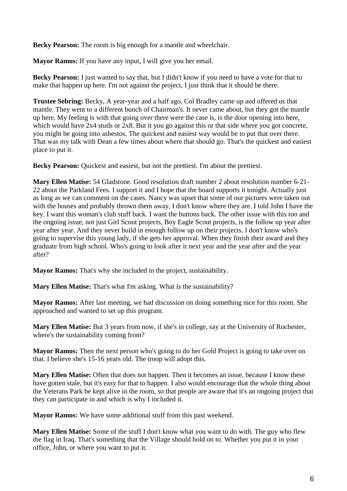**Becky Pearson:** The room is big enough for a mantle and wheelchair.

**Mayor Ramos:** If you have any input, I will give you her email.

**Becky Pearson:** I just wanted to say that, but I didn't know if you need to have a vote for that to make that happen up here. I'm not against the project, I just think that it should be there.

**Trustee Sebring:** Becky, A year-year and a half ago, Col Bradley came up and offered us that mantle. They went to a different bunch of Chairman's. It never came about, but they got the mantle up here. My feeling is with that going over there were the case is, is the door opening into here, which would have 2x4 studs or 2x8. But it you go against this or that side where you got concrete, you might be going into asbestos. The quickest and easiest way would be to put that over there. That was my talk with Dean a few times about where that should go. That's the quickest and easiest place to put it.

Becky Pearson: Quickest and easiest, but not the prettiest. I'm about the prettiest.

**Mary Ellen Matise:** 54 Gladstone. Good resolution draft number 2 about resolution number 6-21- 22 about the Parkland Fees. I support it and I hope that the board supports it tonight. Actually just as long as we can comment on the cases. Nancy was upset that some of our pictures were taken out with the houses and probably thrown them away, I don't know where they are. I told John I have the key. I want this woman's club stuff back. I want the buttons back. The other issue with this too and the ongoing issue, not just Girl Scout projects, Boy Eagle Scout projects, is the follow up year after year after year. And they never build in enough follow up on their projects. I don't know who's going to supervise this young lady, if she gets her approval. When they finish their award and they graduate from high school. Who's going to look after it next year and the year after and the year after?

**Mayor Ramos:** That's why she included in the project, sustainability.

**Mary Ellen Matise:** That's what I'm asking. What is the sustainability?

**Mayor Ramos:** After last meeting, we had discussion on doing something nice for this room. She approached and wanted to set up this program.

**Mary Ellen Matise:** But 3 years from now, if she's in college, say at the University of Rochester, where's the sustainability coming from?

**Mayor Ramos:** Then the next person who's going to do her Gold Project is going to take over on that. I believe she's 15-16 years old. The troop will adopt this.

**Mary Ellen Matise:** Often that does not happen. Then it becomes an issue, because I know these have gotten stale, but it's easy for that to happen. I also would encourage that the whole thing about the Veterans Park be kept alive in the room, so that people are aware that it's an ongoing project that they can participate in and which is why I included it.

**Mayor Ramos:** We have some additional stuff from this past weekend.

**Mary Ellen Matise:** Some of the stuff I don't know what you want to do with. The guy who flew the flag in Iraq. That's something that the Village should hold on to. Whether you put it in your office, John, or where you want to put it.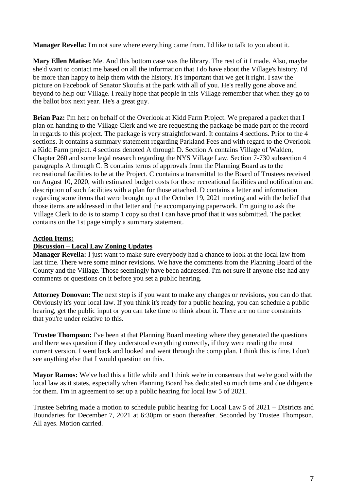**Manager Revella:** I'm not sure where everything came from. I'd like to talk to you about it.

**Mary Ellen Matise:** Me. And this bottom case was the library. The rest of it I made. Also, maybe she'd want to contact me based on all the information that I do have about the Village's history. I'd be more than happy to help them with the history. It's important that we get it right. I saw the picture on Facebook of Senator Skoufis at the park with all of you. He's really gone above and beyond to help our Village. I really hope that people in this Village remember that when they go to the ballot box next year. He's a great guy.

**Brian Paz:** I'm here on behalf of the Overlook at Kidd Farm Project. We prepared a packet that I plan on handing to the Village Clerk and we are requesting the package be made part of the record in regards to this project. The package is very straightforward. It contains 4 sections. Prior to the 4 sections. It contains a summary statement regarding Parkland Fees and with regard to the Overlook a Kidd Farm project. 4 sections denoted A through D. Section A contains Village of Walden, Chapter 260 and some legal research regarding the NYS Village Law. Section 7-730 subsection 4 paragraphs A through C. B contains terms of approvals from the Planning Board as to the recreational facilities to be at the Project. C contains a transmittal to the Board of Trustees received on August 10, 2020, with estimated budget costs for those recreational facilities and notification and description of such facilities with a plan for those attached. D contains a letter and information regarding some items that were brought up at the October 19, 2021 meeting and with the belief that those items are addressed in that letter and the accompanying paperwork. I'm going to ask the Village Clerk to do is to stamp 1 copy so that I can have proof that it was submitted. The packet contains on the 1st page simply a summary statement.

# **Action Items:**

# **Discussion – Local Law Zoning Updates**

**Manager Revella:** I just want to make sure everybody had a chance to look at the local law from last time. There were some minor revisions. We have the comments from the Planning Board of the County and the Village. Those seemingly have been addressed. I'm not sure if anyone else had any comments or questions on it before you set a public hearing.

**Attorney Donovan:** The next step is if you want to make any changes or revisions, you can do that. Obviously it's your local law. If you think it's ready for a public hearing, you can schedule a public hearing, get the public input or you can take time to think about it. There are no time constraints that you're under relative to this.

**Trustee Thompson:** I've been at that Planning Board meeting where they generated the questions and there was question if they understood everything correctly, if they were reading the most current version. I went back and looked and went through the comp plan. I think this is fine. I don't see anything else that I would question on this.

**Mayor Ramos:** We've had this a little while and I think we're in consensus that we're good with the local law as it states, especially when Planning Board has dedicated so much time and due diligence for them. I'm in agreement to set up a public hearing for local law 5 of 2021.

Trustee Sebring made a motion to schedule public hearing for Local Law 5 of 2021 – Districts and Boundaries for December 7, 2021 at 6:30pm or soon thereafter. Seconded by Trustee Thompson. All ayes. Motion carried.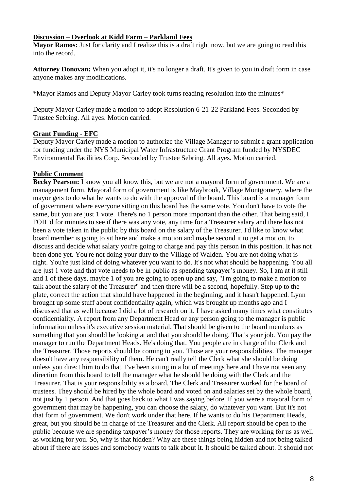#### **Discussion – Overlook at Kidd Farm – Parkland Fees**

**Mayor Ramos:** Just for clarity and I realize this is a draft right now, but we are going to read this into the record.

**Attorney Donovan:** When you adopt it, it's no longer a draft. It's given to you in draft form in case anyone makes any modifications.

\*Mayor Ramos and Deputy Mayor Carley took turns reading resolution into the minutes\*

Deputy Mayor Carley made a motion to adopt Resolution 6-21-22 Parkland Fees. Seconded by Trustee Sebring. All ayes. Motion carried.

#### **Grant Funding - EFC**

Deputy Mayor Carley made a motion to authorize the Village Manager to submit a grant application for funding under the NYS Municipal Water Infrastructure Grant Program funded by NYSDEC Environmental Facilities Corp. Seconded by Trustee Sebring. All ayes. Motion carried.

# **Public Comment**

**Becky Pearson:** I know you all know this, but we are not a mayoral form of government. We are a management form. Mayoral form of government is like Maybrook, Village Montgomery, where the mayor gets to do what he wants to do with the approval of the board. This board is a manager form of government where everyone sitting on this board has the same vote. You don't have to vote the same, but you are just 1 vote. There's no 1 person more important than the other. That being said, I FOIL'd for minutes to see if there was any vote, any time for a Treasurer salary and there has not been a vote taken in the public by this board on the salary of the Treasurer. I'd like to know what board member is going to sit here and make a motion and maybe second it to get a motion, to discuss and decide what salary you're going to charge and pay this person in this position. It has not been done yet. You're not doing your duty to the Village of Walden. You are not doing what is right. You're just kind of doing whatever you want to do. It's not what should be happening. You all are just 1 vote and that vote needs to be in public as spending taxpayer's money. So, I am at it still and 1 of these days, maybe 1 of you are going to open up and say, "I'm going to make a motion to talk about the salary of the Treasurer" and then there will be a second, hopefully. Step up to the plate, correct the action that should have happened in the beginning, and it hasn't happened. Lynn brought up some stuff about confidentiality again, which was brought up months ago and I discussed that as well because I did a lot of research on it. I have asked many times what constitutes confidentiality. A report from any Department Head or any person going to the manager is public information unless it's executive session material. That should be given to the board members as something that you should be looking at and that you should be doing. That's your job. You pay the manager to run the Department Heads. He's doing that. You people are in charge of the Clerk and the Treasurer. Those reports should be coming to you. Those are your responsibilities. The manager doesn't have any responsibility of them. He can't really tell the Clerk what she should be doing unless you direct him to do that. I've been sitting in a lot of meetings here and I have not seen any direction from this board to tell the manager what he should be doing with the Clerk and the Treasurer. That is your responsibility as a board. The Clerk and Treasurer worked for the board of trustees. They should be hired by the whole board and voted on and salaries set by the whole board, not just by 1 person. And that goes back to what I was saying before. If you were a mayoral form of government that may be happening, you can choose the salary, do whatever you want. But it's not that form of government. We don't work under that here. If he wants to do his Department Heads, great, but you should be in charge of the Treasurer and the Clerk. All report should be open to the public because we are spending taxpayer's money for those reports. They are working for us as well as working for you. So, why is that hidden? Why are these things being hidden and not being talked about if there are issues and somebody wants to talk about it. It should be talked about. It should not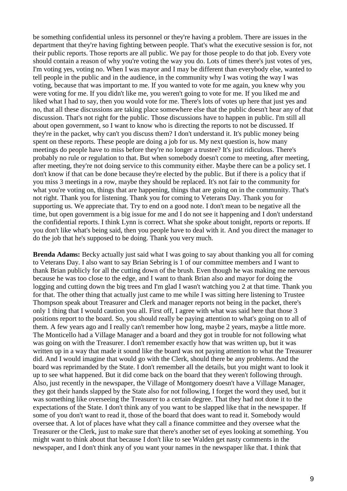be something confidential unless its personnel or they're having a problem. There are issues in the department that they're having fighting between people. That's what the executive session is for, not their public reports. Those reports are all public. We pay for those people to do that job. Every vote should contain a reason of why you're voting the way you do. Lots of times there's just votes of yes, I'm voting yes, voting no. When I was mayor and I may be different than everybody else, wanted to tell people in the public and in the audience, in the community why I was voting the way I was voting, because that was important to me. If you wanted to vote for me again, you knew why you were voting for me. If you didn't like me, you weren't going to vote for me. If you liked me and liked what I had to say, then you would vote for me. There's lots of votes up here that just yes and no, that all these discussions are taking place somewhere else that the public doesn't hear any of that discussion. That's not right for the public. Those discussions have to happen in public. I'm still all about open government, so I want to know who is directing the reports to not be discussed. If they're in the packet, why can't you discuss them? I don't understand it. It's public money being spent on these reports. These people are doing a job for us. My next question is, how many meetings do people have to miss before they're no longer a trustee? It's just ridiculous. There's probably no rule or regulation to that. But when somebody doesn't come to meeting, after meeting, after meeting, they're not doing service to this community either. Maybe there can be a policy set. I don't know if that can be done because they're elected by the public. But if there is a policy that if you miss 3 meetings in a row, maybe they should be replaced. It's not fair to the community for what you're voting on, things that are happening, things that are going on in the community. That's not right. Thank you for listening. Thank you for coming to Veterans Day. Thank you for supporting us. We appreciate that. Try to end on a good note. I don't mean to be negative all the time, but open government is a big issue for me and I do not see it happening and I don't understand the confidential reports. I think Lynn is correct. What she spoke about tonight, reports or reports. If you don't like what's being said, then you people have to deal with it. And you direct the manager to do the job that he's supposed to be doing. Thank you very much.

**Brenda Adams:** Becky actually just said what I was going to say about thanking you all for coming to Veterans Day. I also want to say Brian Sebring is 1 of our committee members and I want to thank Brian publicly for all the cutting down of the brush. Even though he was making me nervous because he was too close to the edge, and I want to thank Brian also and mayor for doing the logging and cutting down the big trees and I'm glad I wasn't watching you 2 at that time. Thank you for that. The other thing that actually just came to me while I was sitting here listening to Trustee Thompson speak about Treasurer and Clerk and manager reports not being in the packet, there's only 1 thing that I would caution you all. First off, I agree with what was said here that those 3 positions report to the board. So, you should really be paying attention to what's going on to all of them. A few years ago and I really can't remember how long, maybe 2 years, maybe a little more. The Monticello had a Village Manager and a board and they got in trouble for not following what was going on with the Treasurer. I don't remember exactly how that was written up, but it was written up in a way that made it sound like the board was not paying attention to what the Treasurer did. And I would imagine that would go with the Clerk, should there be any problems. And the board was reprimanded by the State. I don't remember all the details, but you might want to look it up to see what happened. But it did come back on the board that they weren't following through. Also, just recently in the newspaper, the Village of Montgomery doesn't have a Village Manager, they got their hands slapped by the State also for not following, I forget the word they used, but it was something like overseeing the Treasurer to a certain degree. That they had not done it to the expectations of the State. I don't think any of you want to be slapped like that in the newspaper. If some of you don't want to read it, those of the board that does want to read it. Somebody would oversee that. A lot of places have what they call a finance committee and they oversee what the Treasurer or the Clerk, just to make sure that there's another set of eyes looking at something. You might want to think about that because I don't like to see Walden get nasty comments in the newspaper, and I don't think any of you want your names in the newspaper like that. I think that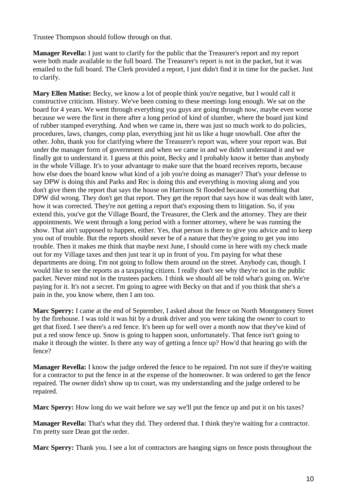Trustee Thompson should follow through on that.

**Manager Revella:** I just want to clarify for the public that the Treasurer's report and my report were both made available to the full board. The Treasurer's report is not in the packet, but it was emailed to the full board. The Clerk provided a report, I just didn't find it in time for the packet. Just to clarify.

**Mary Ellen Matise:** Becky, we know a lot of people think you're negative, but I would call it constructive criticism. History. We've been coming to these meetings long enough. We sat on the board for 4 years. We went through everything you guys are going through now, maybe even worse because we were the first in there after a long period of kind of slumber, where the board just kind of rubber stamped everything. And when we came in, there was just so much work to do policies, procedures, laws, changes, comp plan, everything just hit us like a huge snowball. One after the other. John, thank you for clarifying where the Treasurer's report was, where your report was. But under the manager form of government and when we came in and we didn't understand it and we finally got to understand it. I guess at this point, Becky and I probably know it better than anybody in the whole Village. It's to your advantage to make sure that the board receives reports, because how else does the board know what kind of a job you're doing as manager? That's your defense to say DPW is doing this and Parks and Rec is doing this and everything is moving along and you don't give them the report that says the house on Harrison St flooded because of something that DPW did wrong. They don't get that report. They get the report that says how it was dealt with later, how it was corrected. They're not getting a report that's exposing them to litigation. So, if you extend this, you've got the Village Board, the Treasurer, the Clerk and the attorney. They are their appointments. We went through a long period with a former attorney, where he was running the show. That ain't supposed to happen, either. Yes, that person is there to give you advice and to keep you out of trouble. But the reports should never be of a nature that they're going to get you into trouble. Then it makes me think that maybe next June, I should come in here with my check made out for my Village taxes and then just tear it up in front of you. I'm paying for what these departments are doing. I'm not going to follow them around on the street. Anybody can, though. I would like to see the reports as a taxpaying citizen. I really don't see why they're not in the public packet. Never mind not in the trustees packets. I think we should all be told what's going on. We're paying for it. It's not a secret. I'm going to agree with Becky on that and if you think that she's a pain in the, you know where, then I am too.

**Marc Sperry:** I came at the end of September, I asked about the fence on North Montgomery Street by the firehouse. I was told it was hit by a drunk driver and you were taking the owner to court to get that fixed. I see there's a red fence. It's been up for well over a month now that they've kind of put a red snow fence up. Snow is going to happen soon, unfortunately. That fence isn't going to make it through the winter. Is there any way of getting a fence up? How'd that hearing go with the fence?

**Manager Revella:** I know the judge ordered the fence to be repaired. I'm not sure if they're waiting for a contractor to put the fence in at the expense of the homeowner. It was ordered to get the fence repaired. The owner didn't show up to court, was my understanding and the judge ordered to be repaired.

**Marc Sperry:** How long do we wait before we say we'll put the fence up and put it on his taxes?

**Manager Revella:** That's what they did. They ordered that. I think they're waiting for a contractor. I'm pretty sure Dean got the order.

**Marc Sperry:** Thank you. I see a lot of contractors are hanging signs on fence posts throughout the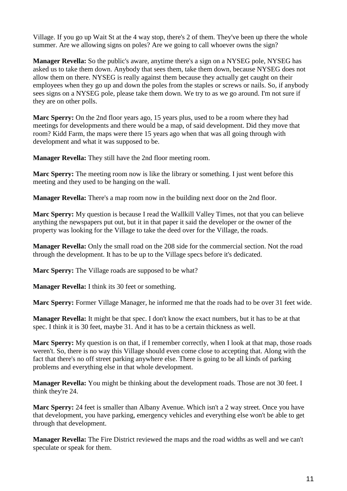Village. If you go up Wait St at the 4 way stop, there's 2 of them. They've been up there the whole summer. Are we allowing signs on poles? Are we going to call whoever owns the sign?

**Manager Revella:** So the public's aware, anytime there's a sign on a NYSEG pole, NYSEG has asked us to take them down. Anybody that sees them, take them down, because NYSEG does not allow them on there. NYSEG is really against them because they actually get caught on their employees when they go up and down the poles from the staples or screws or nails. So, if anybody sees signs on a NYSEG pole, please take them down. We try to as we go around. I'm not sure if they are on other polls.

**Marc Sperry:** On the 2nd floor years ago, 15 years plus, used to be a room where they had meetings for developments and there would be a map, of said development. Did they move that room? Kidd Farm, the maps were there 15 years ago when that was all going through with development and what it was supposed to be.

**Manager Revella:** They still have the 2nd floor meeting room.

**Marc Sperry:** The meeting room now is like the library or something. I just went before this meeting and they used to be hanging on the wall.

**Manager Revella:** There's a map room now in the building next door on the 2nd floor.

**Marc Sperry:** My question is because I read the Wallkill Valley Times, not that you can believe anything the newspapers put out, but it in that paper it said the developer or the owner of the property was looking for the Village to take the deed over for the Village, the roads.

**Manager Revella:** Only the small road on the 208 side for the commercial section. Not the road through the development. It has to be up to the Village specs before it's dedicated.

**Marc Sperry:** The Village roads are supposed to be what?

**Manager Revella:** I think its 30 feet or something.

**Marc Sperry:** Former Village Manager, he informed me that the roads had to be over 31 feet wide.

**Manager Revella:** It might be that spec. I don't know the exact numbers, but it has to be at that spec. I think it is 30 feet, maybe 31. And it has to be a certain thickness as well.

**Marc Sperry:** My question is on that, if I remember correctly, when I look at that map, those roads weren't. So, there is no way this Village should even come close to accepting that. Along with the fact that there's no off street parking anywhere else. There is going to be all kinds of parking problems and everything else in that whole development.

**Manager Revella:** You might be thinking about the development roads. Those are not 30 feet. I think they're 24.

**Marc Sperry:** 24 feet is smaller than Albany Avenue. Which isn't a 2 way street. Once you have that development, you have parking, emergency vehicles and everything else won't be able to get through that development.

**Manager Revella:** The Fire District reviewed the maps and the road widths as well and we can't speculate or speak for them.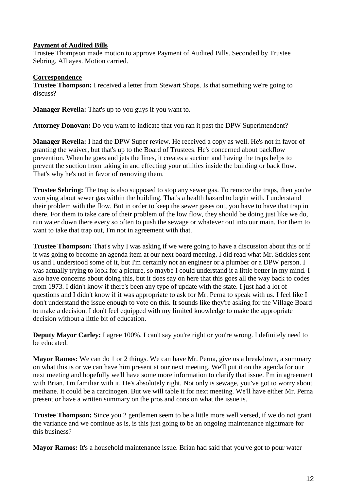# **Payment of Audited Bills**

Trustee Thompson made motion to approve Payment of Audited Bills. Seconded by Trustee Sebring. All ayes. Motion carried.

#### **Correspondence**

**Trustee Thompson:** I received a letter from Stewart Shops. Is that something we're going to discuss?

**Manager Revella:** That's up to you guys if you want to.

**Attorney Donovan:** Do you want to indicate that you ran it past the DPW Superintendent?

**Manager Revella:** I had the DPW Super review. He received a copy as well. He's not in favor of granting the waiver, but that's up to the Board of Trustees. He's concerned about backflow prevention. When he goes and jets the lines, it creates a suction and having the traps helps to prevent the suction from taking in and effecting your utilities inside the building or back flow. That's why he's not in favor of removing them.

**Trustee Sebring:** The trap is also supposed to stop any sewer gas. To remove the traps, then you're worrying about sewer gas within the building. That's a health hazard to begin with. I understand their problem with the flow. But in order to keep the sewer gases out, you have to have that trap in there. For them to take care of their problem of the low flow, they should be doing just like we do, run water down there every so often to push the sewage or whatever out into our main. For them to want to take that trap out, I'm not in agreement with that.

**Trustee Thompson:** That's why I was asking if we were going to have a discussion about this or if it was going to become an agenda item at our next board meeting. I did read what Mr. Stickles sent us and I understood some of it, but I'm certainly not an engineer or a plumber or a DPW person. I was actually trying to look for a picture, so maybe I could understand it a little better in my mind. I also have concerns about doing this, but it does say on here that this goes all the way back to codes from 1973. I didn't know if there's been any type of update with the state. I just had a lot of questions and I didn't know if it was appropriate to ask for Mr. Perna to speak with us. I feel like I don't understand the issue enough to vote on this. It sounds like they're asking for the Village Board to make a decision. I don't feel equipped with my limited knowledge to make the appropriate decision without a little bit of education.

**Deputy Mayor Carley:** I agree 100%. I can't say you're right or you're wrong. I definitely need to be educated.

**Mayor Ramos:** We can do 1 or 2 things. We can have Mr. Perna, give us a breakdown, a summary on what this is or we can have him present at our next meeting. We'll put it on the agenda for our next meeting and hopefully we'll have some more information to clarify that issue. I'm in agreement with Brian. I'm familiar with it. He's absolutely right. Not only is sewage, you've got to worry about methane. It could be a carcinogen. But we will table it for next meeting. We'll have either Mr. Perna present or have a written summary on the pros and cons on what the issue is.

**Trustee Thompson:** Since you 2 gentlemen seem to be a little more well versed, if we do not grant the variance and we continue as is, is this just going to be an ongoing maintenance nightmare for this business?

**Mayor Ramos:** It's a household maintenance issue. Brian had said that you've got to pour water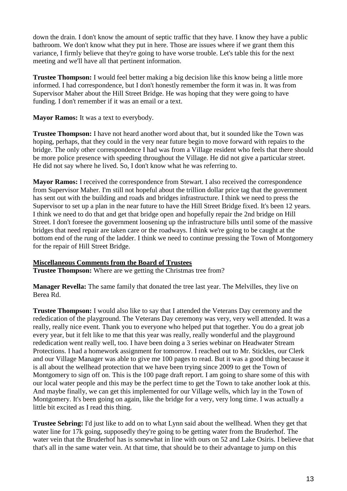down the drain. I don't know the amount of septic traffic that they have. I know they have a public bathroom. We don't know what they put in here. Those are issues where if we grant them this variance, I firmly believe that they're going to have worse trouble. Let's table this for the next meeting and we'll have all that pertinent information.

**Trustee Thompson:** I would feel better making a big decision like this know being a little more informed. I had correspondence, but I don't honestly remember the form it was in. It was from Supervisor Maher about the Hill Street Bridge. He was hoping that they were going to have funding. I don't remember if it was an email or a text.

**Mayor Ramos:** It was a text to everybody.

**Trustee Thompson:** I have not heard another word about that, but it sounded like the Town was hoping, perhaps, that they could in the very near future begin to move forward with repairs to the bridge. The only other correspondence I had was from a Village resident who feels that there should be more police presence with speeding throughout the Village. He did not give a particular street. He did not say where he lived. So, I don't know what he was referring to.

**Mayor Ramos:** I received the correspondence from Stewart. I also received the correspondence from Supervisor Maher. I'm still not hopeful about the trillion dollar price tag that the government has sent out with the building and roads and bridges infrastructure. I think we need to press the Supervisor to set up a plan in the near future to have the Hill Street Bridge fixed. It's been 12 years. I think we need to do that and get that bridge open and hopefully repair the 2nd bridge on Hill Street. I don't foresee the government loosening up the infrastructure bills until some of the massive bridges that need repair are taken care or the roadways. I think we're going to be caught at the bottom end of the rung of the ladder. I think we need to continue pressing the Town of Montgomery for the repair of Hill Street Bridge.

# **Miscellaneous Comments from the Board of Trustees**

**Trustee Thompson:** Where are we getting the Christmas tree from?

**Manager Revella:** The same family that donated the tree last year. The Melvilles, they live on Berea Rd.

**Trustee Thompson:** I would also like to say that I attended the Veterans Day ceremony and the rededication of the playground. The Veterans Day ceremony was very, very well attended. It was a really, really nice event. Thank you to everyone who helped put that together. You do a great job every year, but it felt like to me that this year was really, really wonderful and the playground rededication went really well, too. I have been doing a 3 series webinar on Headwater Stream Protections. I had a homework assignment for tomorrow. I reached out to Mr. Stickles, our Clerk and our Village Manager was able to give me 100 pages to read. But it was a good thing because it is all about the wellhead protection that we have been trying since 2009 to get the Town of Montgomery to sign off on. This is the 100 page draft report. I am going to share some of this with our local water people and this may be the perfect time to get the Town to take another look at this. And maybe finally, we can get this implemented for our Village wells, which lay in the Town of Montgomery. It's been going on again, like the bridge for a very, very long time. I was actually a little bit excited as I read this thing.

**Trustee Sebring:** I'd just like to add on to what Lynn said about the wellhead. When they get that water line for 17k going, supposedly they're going to be getting water from the Bruderhof. The water vein that the Bruderhof has is somewhat in line with ours on 52 and Lake Osiris. I believe that that's all in the same water vein. At that time, that should be to their advantage to jump on this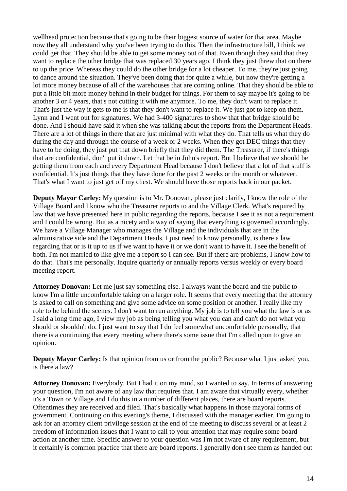wellhead protection because that's going to be their biggest source of water for that area. Maybe now they all understand why you've been trying to do this. Then the infrastructure bill, I think we could get that. They should be able to get some money out of that. Even though they said that they want to replace the other bridge that was replaced 30 years ago. I think they just threw that on there to up the price. Whereas they could do the other bridge for a lot cheaper. To me, they're just going to dance around the situation. They've been doing that for quite a while, but now they're getting a lot more money because of all of the warehouses that are coming online. That they should be able to put a little bit more money behind in their budget for things. For them to say maybe it's going to be another 3 or 4 years, that's not cutting it with me anymore. To me, they don't want to replace it. That's just the way it gets to me is that they don't want to replace it. We just got to keep on them. Lynn and I went out for signatures. We had 3-400 signatures to show that that bridge should be done. And I should have said it when she was talking about the reports from the Department Heads. There are a lot of things in there that are just minimal with what they do. That tells us what they do during the day and through the course of a week or 2 weeks. When they got DEC things that they have to be doing, they just put that down briefly that they did them. The Treasurer, if there's things that are confidential, don't put it down. Let that be in John's report. But I believe that we should be getting them from each and every Department Head because I don't believe that a lot of that stuff is confidential. It's just things that they have done for the past 2 weeks or the month or whatever. That's what I want to just get off my chest. We should have those reports back in our packet.

**Deputy Mayor Carley:** My question is to Mr. Donovan, please just clarify, I know the role of the Village Board and I know who the Treasurer reports to and the Village Clerk. What's required by law that we have presented here in public regarding the reports, because I see it as not a requirement and I could be wrong. But as a nicety and a way of saying that everything is governed accordingly. We have a Village Manager who manages the Village and the individuals that are in the administrative side and the Department Heads. I just need to know personally, is there a law regarding that or is it up to us if we want to have it or we don't want to have it. I see the benefit of both. I'm not married to like give me a report so I can see. But if there are problems, I know how to do that. That's me personally. Inquire quarterly or annually reports versus weekly or every board meeting report.

**Attorney Donovan:** Let me just say something else. I always want the board and the public to know I'm a little uncomfortable taking on a larger role. It seems that every meeting that the attorney is asked to call on something and give some advice on some position or another. I really like my role to be behind the scenes. I don't want to run anything. My job is to tell you what the law is or as I said a long time ago, I view my job as being telling you what you can and can't do not what you should or shouldn't do. I just want to say that I do feel somewhat uncomfortable personally, that there is a continuing that every meeting where there's some issue that I'm called upon to give an opinion.

**Deputy Mayor Carley:** Is that opinion from us or from the public? Because what I just asked you, is there a law?

**Attorney Donovan:** Everybody. But I had it on my mind, so I wanted to say. In terms of answering your question, I'm not aware of any law that requires that. I am aware that virtually every, whether it's a Town or Village and I do this in a number of different places, there are board reports. Oftentimes they are received and filed. That's basically what happens in those mayoral forms of government. Continuing on this evening's theme, I discussed with the manager earlier. I'm going to ask for an attorney client privilege session at the end of the meeting to discuss several or at least 2 freedom of information issues that I want to call to your attention that may require some board action at another time. Specific answer to your question was I'm not aware of any requirement, but it certainly is common practice that there are board reports. I generally don't see them as handed out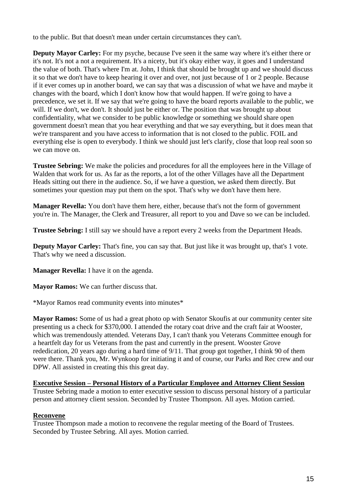to the public. But that doesn't mean under certain circumstances they can't.

**Deputy Mayor Carley:** For my psyche, because I've seen it the same way where it's either there or it's not. It's not a not a requirement. It's a nicety, but it's okay either way, it goes and I understand the value of both. That's where I'm at. John, I think that should be brought up and we should discuss it so that we don't have to keep hearing it over and over, not just because of 1 or 2 people. Because if it ever comes up in another board, we can say that was a discussion of what we have and maybe it changes with the board, which I don't know how that would happen. If we're going to have a precedence, we set it. If we say that we're going to have the board reports available to the public, we will. If we don't, we don't. It should just be either or. The position that was brought up about confidentiality, what we consider to be public knowledge or something we should share open government doesn't mean that you hear everything and that we say everything, but it does mean that we're transparent and you have access to information that is not closed to the public. FOIL and everything else is open to everybody. I think we should just let's clarify, close that loop real soon so we can move on.

**Trustee Sebring:** We make the policies and procedures for all the employees here in the Village of Walden that work for us. As far as the reports, a lot of the other Villages have all the Department Heads sitting out there in the audience. So, if we have a question, we asked them directly. But sometimes your question may put them on the spot. That's why we don't have them here.

**Manager Revella:** You don't have them here, either, because that's not the form of government you're in. The Manager, the Clerk and Treasurer, all report to you and Dave so we can be included.

**Trustee Sebring:** I still say we should have a report every 2 weeks from the Department Heads.

**Deputy Mayor Carley:** That's fine, you can say that. But just like it was brought up, that's 1 vote. That's why we need a discussion.

**Manager Revella:** I have it on the agenda.

**Mayor Ramos:** We can further discuss that.

\*Mayor Ramos read community events into minutes\*

**Mayor Ramos:** Some of us had a great photo op with Senator Skoufis at our community center site presenting us a check for \$370,000. I attended the rotary coat drive and the craft fair at Wooster, which was tremendously attended. Veterans Day, I can't thank you Veterans Committee enough for a heartfelt day for us Veterans from the past and currently in the present. Wooster Grove rededication, 20 years ago during a hard time of 9/11. That group got together, I think 90 of them were there. Thank you, Mr. Wynkoop for initiating it and of course, our Parks and Rec crew and our DPW. All assisted in creating this this great day.

#### **Executive Session – Personal History of a Particular Employee and Attorney Client Session**  Trustee Sebring made a motion to enter executive session to discuss personal history of a particular person and attorney client session. Seconded by Trustee Thompson. All ayes. Motion carried.

# **Reconvene**

Trustee Thompson made a motion to reconvene the regular meeting of the Board of Trustees. Seconded by Trustee Sebring. All ayes. Motion carried.